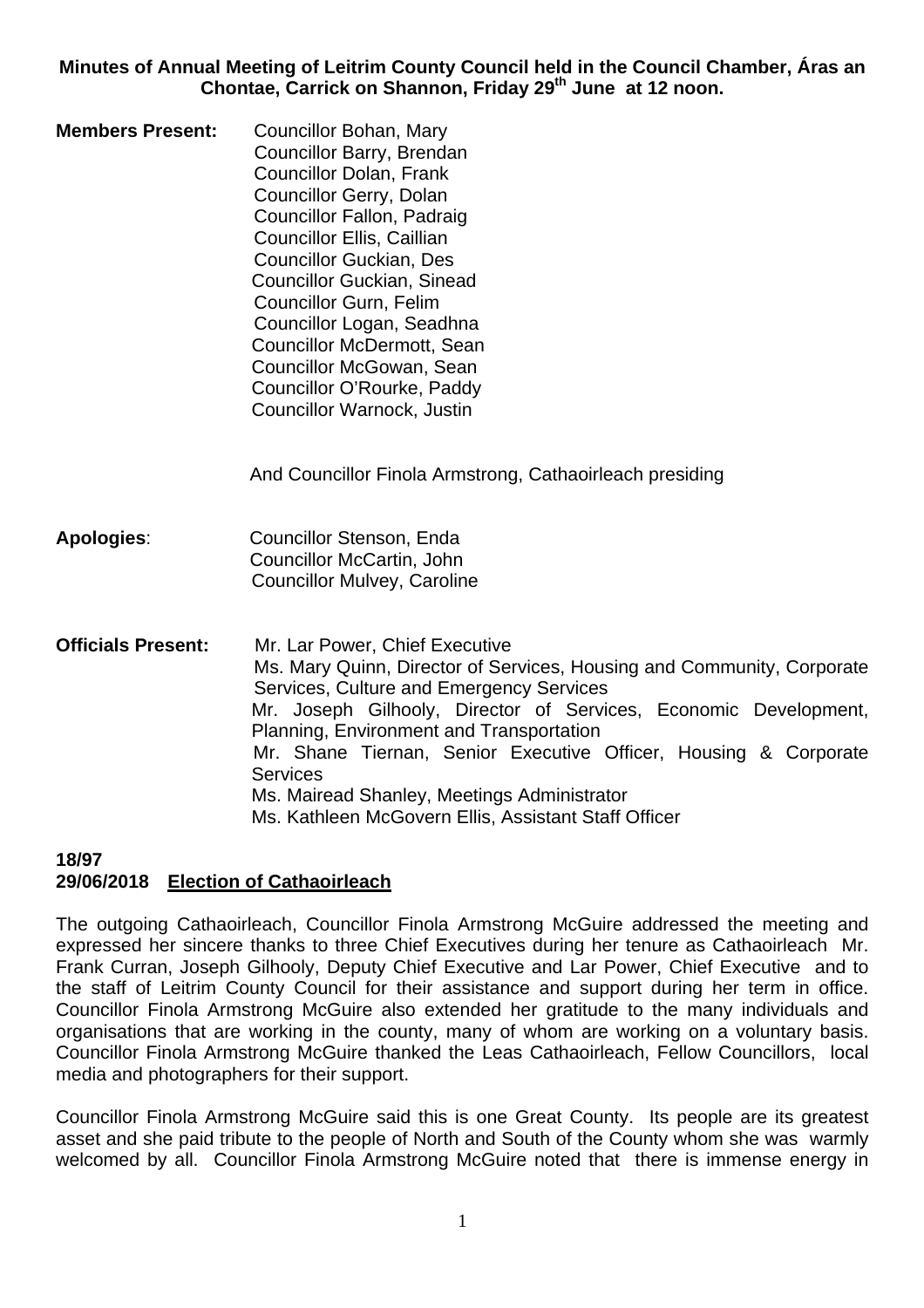**Minutes of Annual Meeting of Leitrim County Council held in the Council Chamber, Áras an**  Chontae, Carrick on Shannon, Friday 29<sup>th</sup> June at 12 noon.

**Members Present:** Councillor Bohan, Mary Councillor Barry, Brendan Councillor Dolan, Frank Councillor Gerry, Dolan Councillor Fallon, Padraig Councillor Ellis, Caillian Councillor Guckian, Des Councillor Guckian, Sinead Councillor Gurn, Felim Councillor Logan, Seadhna Councillor McDermott, Sean Councillor McGowan, Sean Councillor O'Rourke, Paddy Councillor Warnock, Justin

And Councillor Finola Armstrong, Cathaoirleach presiding

- **Apologies**: Councillor Stenson, Enda Councillor McCartin, John Councillor Mulvey, Caroline
- **Officials Present:** Mr. Lar Power, Chief Executive Ms. Mary Quinn, Director of Services, Housing and Community, Corporate Services, Culture and Emergency Services Mr. Joseph Gilhooly, Director of Services, Economic Development, Planning, Environment and Transportation Mr. Shane Tiernan, Senior Executive Officer, Housing & Corporate **Services**  Ms. Mairead Shanley, Meetings Administrator Ms. Kathleen McGovern Ellis, Assistant Staff Officer

#### **18/97 29/06/2018 Election of Cathaoirleach**

The outgoing Cathaoirleach, Councillor Finola Armstrong McGuire addressed the meeting and expressed her sincere thanks to three Chief Executives during her tenure as Cathaoirleach Mr. Frank Curran, Joseph Gilhooly, Deputy Chief Executive and Lar Power, Chief Executive and to the staff of Leitrim County Council for their assistance and support during her term in office. Councillor Finola Armstrong McGuire also extended her gratitude to the many individuals and organisations that are working in the county, many of whom are working on a voluntary basis. Councillor Finola Armstrong McGuire thanked the Leas Cathaoirleach, Fellow Councillors, local media and photographers for their support.

Councillor Finola Armstrong McGuire said this is one Great County. Its people are its greatest asset and she paid tribute to the people of North and South of the County whom she was warmly welcomed by all. Councillor Finola Armstrong McGuire noted that there is immense energy in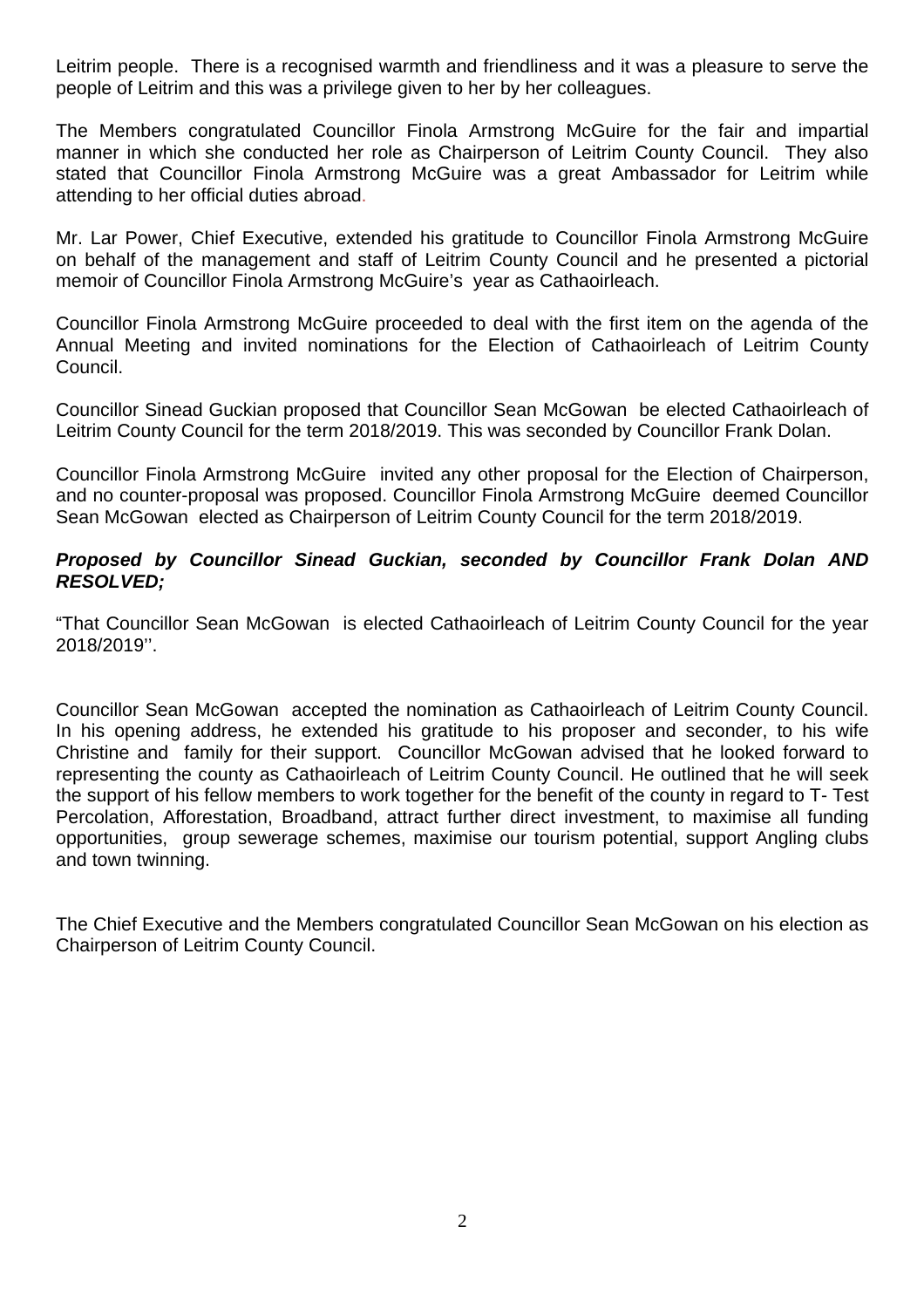Leitrim people. There is a recognised warmth and friendliness and it was a pleasure to serve the people of Leitrim and this was a privilege given to her by her colleagues.

The Members congratulated Councillor Finola Armstrong McGuire for the fair and impartial manner in which she conducted her role as Chairperson of Leitrim County Council. They also stated that Councillor Finola Armstrong McGuire was a great Ambassador for Leitrim while attending to her official duties abroad.

Mr. Lar Power, Chief Executive, extended his gratitude to Councillor Finola Armstrong McGuire on behalf of the management and staff of Leitrim County Council and he presented a pictorial memoir of Councillor Finola Armstrong McGuire's year as Cathaoirleach.

Councillor Finola Armstrong McGuire proceeded to deal with the first item on the agenda of the Annual Meeting and invited nominations for the Election of Cathaoirleach of Leitrim County Council.

Councillor Sinead Guckian proposed that Councillor Sean McGowan be elected Cathaoirleach of Leitrim County Council for the term 2018/2019. This was seconded by Councillor Frank Dolan.

Councillor Finola Armstrong McGuire invited any other proposal for the Election of Chairperson, and no counter-proposal was proposed. Councillor Finola Armstrong McGuire deemed Councillor Sean McGowan elected as Chairperson of Leitrim County Council for the term 2018/2019.

## *Proposed by Councillor Sinead Guckian, seconded by Councillor Frank Dolan AND RESOLVED;*

"That Councillor Sean McGowan is elected Cathaoirleach of Leitrim County Council for the year 2018/2019''.

Councillor Sean McGowan accepted the nomination as Cathaoirleach of Leitrim County Council. In his opening address, he extended his gratitude to his proposer and seconder, to his wife Christine and family for their support. Councillor McGowan advised that he looked forward to representing the county as Cathaoirleach of Leitrim County Council. He outlined that he will seek the support of his fellow members to work together for the benefit of the county in regard to T- Test Percolation, Afforestation, Broadband, attract further direct investment, to maximise all funding opportunities, group sewerage schemes, maximise our tourism potential, support Angling clubs and town twinning.

The Chief Executive and the Members congratulated Councillor Sean McGowan on his election as Chairperson of Leitrim County Council.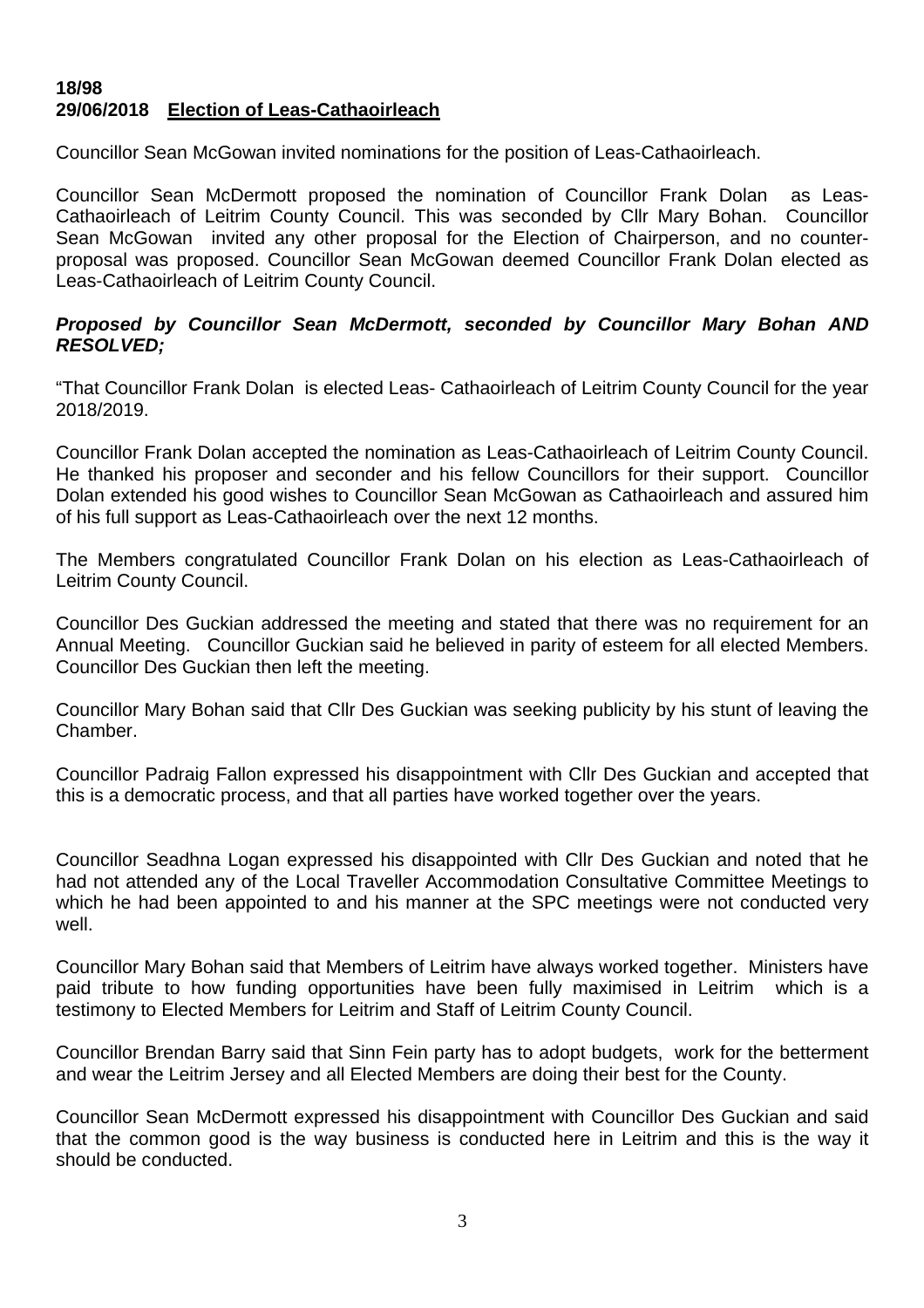## **18/98 29/06/2018 Election of Leas-Cathaoirleach**

Councillor Sean McGowan invited nominations for the position of Leas-Cathaoirleach.

Councillor Sean McDermott proposed the nomination of Councillor Frank Dolan as Leas-Cathaoirleach of Leitrim County Council. This was seconded by Cllr Mary Bohan. Councillor Sean McGowan invited any other proposal for the Election of Chairperson, and no counterproposal was proposed. Councillor Sean McGowan deemed Councillor Frank Dolan elected as Leas-Cathaoirleach of Leitrim County Council.

#### *Proposed by Councillor Sean McDermott, seconded by Councillor Mary Bohan AND RESOLVED;*

"That Councillor Frank Dolan is elected Leas- Cathaoirleach of Leitrim County Council for the year 2018/2019.

Councillor Frank Dolan accepted the nomination as Leas-Cathaoirleach of Leitrim County Council. He thanked his proposer and seconder and his fellow Councillors for their support. Councillor Dolan extended his good wishes to Councillor Sean McGowan as Cathaoirleach and assured him of his full support as Leas-Cathaoirleach over the next 12 months.

The Members congratulated Councillor Frank Dolan on his election as Leas-Cathaoirleach of Leitrim County Council.

Councillor Des Guckian addressed the meeting and stated that there was no requirement for an Annual Meeting. Councillor Guckian said he believed in parity of esteem for all elected Members. Councillor Des Guckian then left the meeting.

Councillor Mary Bohan said that Cllr Des Guckian was seeking publicity by his stunt of leaving the Chamber.

Councillor Padraig Fallon expressed his disappointment with Cllr Des Guckian and accepted that this is a democratic process, and that all parties have worked together over the years.

Councillor Seadhna Logan expressed his disappointed with Cllr Des Guckian and noted that he had not attended any of the Local Traveller Accommodation Consultative Committee Meetings to which he had been appointed to and his manner at the SPC meetings were not conducted very well.

Councillor Mary Bohan said that Members of Leitrim have always worked together. Ministers have paid tribute to how funding opportunities have been fully maximised in Leitrim which is a testimony to Elected Members for Leitrim and Staff of Leitrim County Council.

Councillor Brendan Barry said that Sinn Fein party has to adopt budgets, work for the betterment and wear the Leitrim Jersey and all Elected Members are doing their best for the County.

Councillor Sean McDermott expressed his disappointment with Councillor Des Guckian and said that the common good is the way business is conducted here in Leitrim and this is the way it should be conducted.